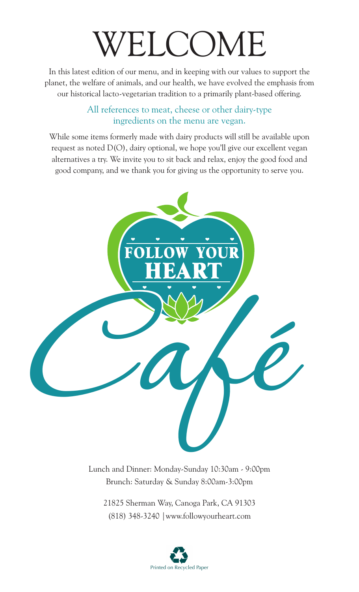# WELCOME

In this latest edition of our menu, and in keeping with our values to support the planet, the welfare of animals, and our health, we have evolved the emphasis from our historical lacto-vegetarian tradition to a primarily plant-based offering.

# All references to meat, cheese or other dairy-type ingredients on the menu are vegan.

While some items formerly made with dairy products will still be available upon request as noted D(O), dairy optional, we hope you'll give our excellent vegan alternatives a try. We invite you to sit back and relax, enjoy the good food and good company, and we thank you for giving us the opportunity to serve you.



Lunch and Dinner: Monday-Sunday 10:30am - 9:00pm Brunch: Saturday & Sunday 8:00am-3:00pm

21825 Sherman Way, Canoga Park, CA 91303 (818) 348-3240 |www.followyourheart.com

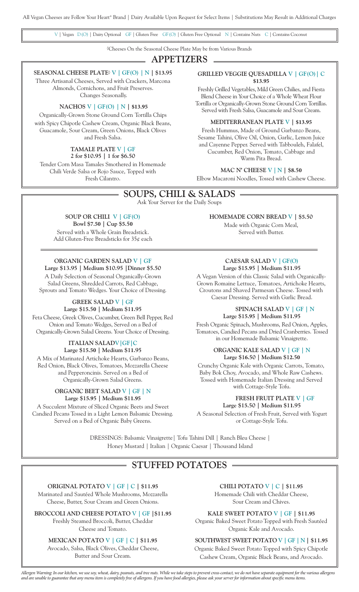V | Vegan D(O) | Dairy Optional GF | Gluten Free GF(O) | Gluten Free Optional N | Contains Nuts C | Contains Coconut

◊Cheeses On the Seasonal Cheese Plate May be from Various Brands

# **APPETIZERS**

### **SEASONAL CHEESE PLATE◊ V | GF(O) | N | \$13.95**

Three Artisanal Cheeses, Served with Crackers, Marcona Almonds, Cornichons, and Fruit Preserves.

Changes Seasonally.

### **NACHOS V | GF(O) | N | \$13.95**

Organically-Grown Stone Ground Corn Tortilla Chips with Spicy Chipotle Cashew Cream, Organic Black Beans, Guacamole, Sour Cream, Green Onions, Black Olives and Fresh Salsa.

# **TAMALE PLATE V | GF**

**2 for \$10.95 | 1 for \$6.50** Tender Corn Masa Tamales Smothered in Homemade Chili Verde Salsa or Rojo Sauce, Topped with Fresh Cilantro.

### **GRILLED VEGGIE QUESADILLA V | GF(O)| C \$13.95**

Freshly Grilled Vegetables, Mild Green Chilies, and Fiesta Blend Cheese in Your Choice of a Whole Wheat Flour Tortilla or Organically-Grown Stone Ground Corn Tortillas. Served with Fresh Salsa, Guacamole and Sour Cream.

#### **MEDITERRANEAN PLATE V | \$13.95**

Fresh Hummus, Made of Ground Garbanzo Beans, Sesame Tahini, Olive Oil, Onion, Garlic, Lemon Juice and Cayenne Pepper. Served with Tabbouleh, Falafel, Cucumber, Red Onion, Tomato, Cabbage and Warm Pita Bread.

### **MAC N' CHEESE V | N | \$8.50**

Elbow Macaroni Noodles, Tossed with Cashew Cheese.

# **SOUPS, CHILI & SALADS**

Ask Your Server for the Daily Soups

### **SOUP OR CHILI V | GF(O) Bowl \$7.50 | Cup \$5.50**

Served with a Whole Grain Breadstick. Add Gluten-Free Breadsticks for 35¢ each

### **ORGANIC GARDEN SALAD V | GF**

**Large \$13.95 | Medium \$10.95 |Dinner \$5.50** A Daily Selection of Seasonal Organically-Grown Salad Greens, Shredded Carrots, Red Cabbage, Sprouts and Tomato Wedges. Your Choice of Dressing.

# **GREEK SALAD V | GF**

**Large \$15.50 | Medium \$11.95**

Feta Cheese, Greek Olives, Cucumber, Green Bell Pepper, Red Onion and Tomato Wedges, Served on a Bed of Organically-Grown Salad Greens. Your Choice of Dressing.

### **ITALIAN SALADV|GF|C Large \$15.50 | Medium \$11.95**

A Mix of Marinated Artichoke Hearts, Garbanzo Beans, Red Onion, Black Olives, Tomatoes, Mozzarella Cheese and Pepperoncinis. Served on a Bed of Organically-Grown Salad Greens.

### **ORGANIC BEET SALAD V | GF | N Large \$15.95 | Medium \$11.95**

A Succulent Mixture of Sliced Organic Beets and Sweet Candied Pecans Tossed in a Light Lemon Balsamic Dressing. Served on a Bed of Organic Baby Greens.

**HOMEMADE CORN BREAD V | \$5.50**

Made with Organic Corn Meal, Served with Butter.

### **CAESAR SALAD V | GF(O) Large \$15.95 | Medium \$11.95**

A Vegan Version of this Classic Salad with Organically-Grown Romaine Lettuce, Tomatoes, Artichoke Hearts, Croutons and Shaved Parmesan Cheese. Tossed with Caesar Dressing. Served with Garlic Bread.

### **SPINACH SALAD V | GF | N Large \$15.95 | Medium \$11.95**

Fresh Organic Spinach, Mushrooms, Red Onion, Apples, Tomatoes, Candied Pecans and Dried Cranberries. Tossed in our Homemade Balsamic Vinaigrette.

### **ORGANIC KALE SALAD V | GF | N Large \$16.50 | Medium \$12.50**

Crunchy Organic Kale with Organic Carrots, Tomato, Baby Bok Choy, Avocado, and Whole Raw Cashews. Tossed with Homemade Italian Dressing and Served with Cottage-Style Tofu.

### **FRESH FRUIT PLATE V | GF Large \$15.50 | Medium \$11.95**

A Seasonal Selection of Fresh Fruit, Served with Yogurt or Cottage-Style Tofu.

DRESSINGS: Balsamic Vinaigrette| Tofu Tahini Dill | Ranch Bleu Cheese | Honey Mustard | Italian | Organic Caesar | Thousand Island

# **STUFFED POTATOES**

**ORIGINAL POTATO V | GF | C | \$11.95**  Marinated and Sautéed Whole Mushrooms, Mozzarella

Cheese, Butter, Sour Cream and Green Onions.

**BROCCOLI AND CHEESE POTATO V | GF |\$11.95**

Freshly Steamed Broccoli, Butter, Cheddar Cheese and Tomato.

### **MEXICAN POTATO V | GF | C | \$11.95**

Avocado, Salsa, Black Olives, Cheddar Cheese, Butter and Sour Cream.

**CHILI POTATO V | C | \$11.95** Homemade Chili with Cheddar Cheese, Sour Cream and Chives.

**KALE SWEET POTATO V | GF | \$11.95** Organic Baked Sweet Potato Topped with Fresh Sautéed Organic Kale and Avocado.

# **SOUTHWEST SWEET POTATO V | GF | N | \$11.95**

Organic Baked Sweet Potato Topped with Spicy Chipotle Cashew Cream, Organic Black Beans, and Avocado.

*Allergen Warning: In our kitchen, we use soy, wheat, dairy, peanuts, and tree nuts. While we take steps to prevent cross-contact, we do not have separate equipment for the various allergens and are unable to guarantee that any menu item is completely free of allergens. If you have food allergies, please ask your server for information about specific menu items.*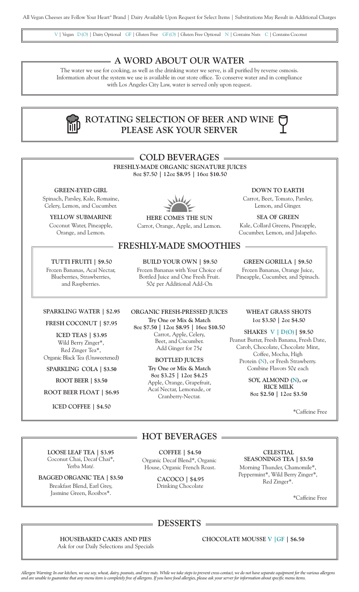V | Vegan D(O) | Dairy Optional GF | Gluten Free GF(O) | Gluten Free Optional N | Contains Nuts C | Contains Coconut

## **A WORD ABOUT OUR WATER**

The water we use for cooking, as well as the drinking water we serve, is all purified by reverse osmosis. Information about the system we use is available in our store office. To conserve water and in compliance with Los Angeles City Law, water is served only upon request.

# **ROTATING SELECTION OF BEER AND WINE PLEASE ASK YOUR SERVER**

|                                                                                                         | <b>COLD BEVERAGES</b>                                                                                                                   |                                                                                                                                         |
|---------------------------------------------------------------------------------------------------------|-----------------------------------------------------------------------------------------------------------------------------------------|-----------------------------------------------------------------------------------------------------------------------------------------|
|                                                                                                         | FRESHLY-MADE ORGANIC SIGNATURE JUICES<br>8oz \$7.50   12oz \$8.95   16oz \$10.50                                                        |                                                                                                                                         |
| <b>GREEN-EYED GIRL</b><br>Spinach, Parsley, Kale, Romaine,<br>Celery, Lemon, and Cucumber.              |                                                                                                                                         | <b>DOWN TO EARTH</b><br>Carrot, Beet, Tomato, Parsley,<br>Lemon, and Ginger.                                                            |
| YELLOW SUBMARINE<br>Coconut Water, Pineapple,<br>Orange, and Lemon.                                     | HERE COMES THE SUN<br>Carrot, Orange, Apple, and Lemon.                                                                                 | <b>SEA OF GREEN</b><br>Kale, Collard Greens, Pineapple,<br>Cucumber, Lemon, and Jalapeño.                                               |
|                                                                                                         | <b>FRESHLY-MADE SMOOTHIES</b>                                                                                                           |                                                                                                                                         |
| TUTTI FRUITI   \$9.50<br>Frozen Bananas, Acaí Nectar,<br>Blueberries, Strawberries,<br>and Raspberries. | <b>BUILD YOUR OWN   \$9.50</b><br>Frozen Bananas with Your Choice of<br>Bottled Juice and One Fresh Fruit.<br>50¢ per Additional Add-On | <b>GREEN GORILLA   \$9.50</b><br>Frozen Bananas, Orange Juice,<br>Pineapple, Cucumber, and Spinach.                                     |
| <b>SPARKLING WATER   \$2.95</b>                                                                         | ORGANIC FRESH-PRESSED JUICES                                                                                                            | <b>WHEAT GRASS SHOTS</b>                                                                                                                |
| FRESH COCONUT   \$7.95                                                                                  | Try One or Mix & Match<br>8oz \$7.50   12oz \$8.95   16oz \$10.50                                                                       | 1oz \$3.50   2oz \$4.50                                                                                                                 |
| <b>ICED TEAS   \$3.95</b><br>Wild Berry Zinger*,<br>Red Zinger Tea*,                                    | Carrot, Apple, Celery,<br>Beet, and Cucumber.<br>Add Ginger for $75¢$                                                                   | <b>SHAKES V   D(O)   \$9.50</b><br>Peanut Butter, Fresh Banana, Fresh Date,<br>Carob, Chocolate, Chocolate Mint,<br>Coffee, Mocha, High |
| Organic Black Tea (Unsweetened)<br>SPARKLING COLA   \$3.50                                              | <b>BOTTLED JUICES</b><br>Try One or Mix & Match                                                                                         | Protein (N), or Fresh Strawberry.<br>Combine Flavors 50¢ each                                                                           |
| ROOT BEER   \$3.50                                                                                      | 8oz \$3.25   12oz \$4.25<br>Apple, Orange, Grapefruit,                                                                                  | SOY, ALMOND (N), or                                                                                                                     |

**ROOT BEER FLOAT | \$6.95**

**ICED COFFEE | \$4.50**

**LOOSE LEAF TEA | \$3.95** Coconut Chai, Decaf Chai\*, Yerba Mat*é.*

**BAGGED ORGANIC TEA | \$3.50** Breakfast Blend, Earl Grey, Jasmine Green, Rooibos\*.

Apple, Orange, Grapefruit, Acaí Nectar, Lemonade, or Cranberry-Nectar.

**RICE MILK 8oz \$2.50 | 12oz \$3.50**

\*Caffeine Free

# **HOT BEVERAGES**

**COFFEE | \$4.50** Organic Decaf Blend\*, Organic House, Organic French Roast.

> **CACOCO | \$4.95** Drinking Chocolate

### **CELESTIAL**

**SEASONINGS TEA | \$3.50** Morning Thunder, Chamomile\*, Peppermint\*, Wild Berry Zinger\*, Red Zinger\*.

\*Caffeine Free

# **DESSERTS**

**HOUSEBAKED CAKES AND PIES** Ask for our Daily Selections and Specials **CHOCOLATE MOUSSE V |GF | \$6.50**

*Allergen Warning: In our kitchen, we use soy, wheat, dairy, peanuts, and tree nuts. While we take steps to prevent cross-contact, we do not have separate equipment for the various allergens and are unable to guarantee that any menu item is completely free of allergens. If you have food allergies, please ask your server for information about specific menu items.*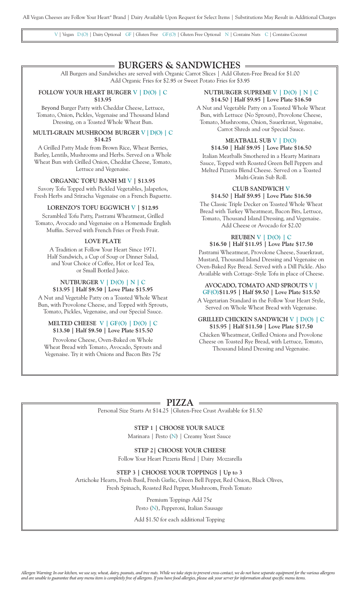V | Vegan D(O) | Dairy Optional GF | Gluten Free GF(O) | Gluten Free Optional N | Contains Nuts C | Contains Coconut

# **BURGERS & SANDWICHES**

All Burgers and Sandwiches are served with Organic Carrot Slices | Add Gluten-Free Bread for \$1.00 Add Organic Fries for \$2.95 or Sweet Potato Fries for \$3.95

# **FOLLOW YOUR HEART BURGER V | D(O) | C**

**\$13.95** 

Beyond Burger Patty with Cheddar Cheese, Lettuce, Tomato, Onion, Pickles, Vegenaise and Thousand Island Dressing, on a Toasted Whole Wheat Bun.

### **MULTI-GRAIN MUSHROOM BURGER V |D(O) | C \$14.25**

A Grilled Patty Made from Brown Rice, Wheat Berries, Barley, Lentils, Mushrooms and Herbs. Served on a Whole Wheat Bun with Grilled Onion, Cheddar Cheese, Tomato, Lettuce and Vegenaise.

**ORGANIC TOFU BANH MI V | \$13.95**

Savory Tofu Topped with Pickled Vegetables, Jalapeños, Fresh Herbs and Sriracha Vegenaise on a French Baguette.

### **LORENZO'S TOFU EGGWICH V | \$12.95**

Scrambled Tofu Patty, Pastrami Wheatmeat, Grilled Tomato, Avocado and Vegenaise on a Homemade English Muffin. Served with French Fries or Fresh Fruit.

### **LOVE PLATE**

A Tradition at Follow Your Heart Since 1971. Half Sandwich, a Cup of Soup or Dinner Salad, and Your Choice of Coffee, Hot or Iced Tea, or Small Bottled Juice.

### **NUTBURGER V | D(O) | N | C \$13.95 | Half \$9.50 | Love Plate \$15.95**

A Nut and Vegetable Patty on a Toasted Whole Wheat Bun, with Provolone Cheese, and Topped with Sprouts, Tomato, Pickles, Vegenaise, and our Special Sauce.

### **MELTED CHEESE V | GF(O) | D(O) | C \$13.50 | Half \$9.50 | Love Plate \$15.50**

Provolone Cheese, Oven-Baked on Whole Wheat Bread with Tomato, Avocado, Sprouts and Vegenaise. Try it with Onions and Bacon Bits 75¢

### **NUTBURGER SUPREME V | D(O) | N | C \$14.50 | Half \$9.95 | Love Plate \$16.50**

A Nut and Vegetable Patty on a Toasted Whole Wheat Bun, with Lettuce (No Sprouts), Provolone Cheese, Tomato, Mushrooms, Onion, Sauerkraut, Vegenaise, Carrot Shreds and our Special Sauce.

# **MEATBALL SUB V | D(O)**

**\$14.50 | Half \$9.95 | Love Plate \$16.50** Italian Meatballs Smothered in a Hearty Marinara Sauce, Topped with Roasted Green Bell Peppers and Melted Pizzeria Blend Cheese. Served on a Toasted Multi-Grain Sub Roll.

### **CLUB SANDWICH V**

**\$14.50 | Half \$9.95 | Love Plate \$16.50** The Classic Triple Decker on Toasted Whole Wheat Bread with Turkey Wheatmeat, Bacon Bits, Lettuce, Tomato, Thousand Island Dressing, and Vegenaise. Add Cheese or Avocado for \$2.00

# **REUBEN V | D(O) | C**

**\$16.50 | Half \$11.95 | Love Plate \$17.50** Pastrami Wheatmeat, Provolone Cheese, Sauerkraut, Mustard, Thousand Island Dressing and Vegenaise on Oven-Baked Rye Bread. Served with a Dill Pickle. Also Available with Cottage-Style Tofu in place of Cheese.

### **AVOCADO, TOMATO AND SPROUTS V | GF(O)\$11.95 | Half \$9.50 | Love Plate \$15.50**

A Vegetarian Standard in the Follow Your Heart Style, Served on Whole Wheat Bread with Vegenaise.

### **GRILLED CHICKEN SANDWICH V | D(O) | C \$15.95 | Half \$11.50 | Love Plate \$17.50**

Chicken Wheatmeat, Grilled Onions and Provolone Cheese on Toasted Rye Bread, with Lettuce, Tomato, Thousand Island Dressing and Vegenaise.

# **PIZZA**

Personal Size Starts At \$14.25 |Gluten-Free Crust Available for \$1.50

### **STEP 1 | CHOOSE YOUR SAUCE** Marinara | Pesto (N) | Creamy Yeast Sauce

**STEP 2| CHOOSE YOUR CHEESE** Follow Your Heart Pizzeria Blend | Dairy Mozzarella

**STEP 3 | CHOOSE YOUR TOPPINGS | Up to 3**  Artichoke Hearts, Fresh Basil, Fresh Garlic, Green Bell Pepper, Red Onion, Black Olives, Fresh Spinach, Roasted Red Pepper, Mushroom, Fresh Tomato

> Premium Toppings Add 75¢ Pesto (N), Pepperoni, Italian Sausage

Add \$1.50 for each additional Topping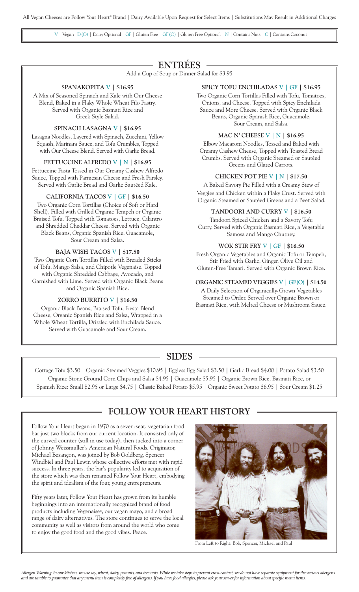V | Vegan D(O) | Dairy Optional GF | Gluten Free GF(O) | Gluten Free Optional N | Contains Nuts C | Contains Coconut

# **ENTRÉES**

Add a Cup of Soup or Dinner Salad for \$3.95

### **SPANAKOPITA V | \$16.95**

A Mix of Seasoned Spinach and Kale with Our Cheese Blend, Baked in a Flaky Whole Wheat Filo Pastry. Served with Organic Basmati Rice and Greek Style Salad.

### **SPINACH LASAGNA V | \$16.95**

Lasagna Noodles, Layered with Spinach, Zucchini, Yellow Squash, Marinara Sauce, and Tofu Crumbles, Topped with Our Cheese Blend. Served with Garlic Bread.

### **FETTUCCINE ALFREDO V | N | \$16.95**

Fettuccine Pasta Tossed in Our Creamy Cashew Alfredo Sauce, Topped with Parmesan Cheese and Fresh Parsley. Served with Garlic Bread and Garlic Sautéed Kale.

### **CALIFORNIA TACOS V | GF | \$16.50**

Two Organic Corn Tortillas (Choice of Soft or Hard Shell), Filled with Grilled Organic Tempeh or Organic Braised Tofu. Topped with Tomatoes, Lettuce, Cilantro and Shredded Cheddar Cheese. Served with Organic Black Beans, Organic Spanish Rice, Guacamole, Sour Cream and Salsa.

### **BAJA WISH TACOS V | \$17.50**

Two Organic Corn Tortillas Filled with Breaded Sticks of Tofu, Mango Salsa, and Chipotle Vegenaise. Topped with Organic Shredded Cabbage, Avocado, and Garnished with Lime. Served with Organic Black Beans and Organic Spanish Rice.

### **ZORRO BURRITO V | \$16.50**

Organic Black Beans, Braised Tofu, Fiesta Blend Cheese, Organic Spanish Rice and Salsa, Wrapped in a Whole Wheat Tortilla, Drizzled with Enchilada Sauce. Served with Guacamole and Sour Cream.

### **SPICY TOFU ENCHILADAS V | GF | \$16.95**

Two Organic Corn Tortillas Filled with Tofu, Tomatoes, Onions, and Cheese. Topped with Spicy Enchilada Sauce and More Cheese. Served with Organic Black Beans, Organic Spanish Rice, Guacamole, Sour Cream, and Salsa.

#### **MAC N' CHEESE V | N | \$16.95**

Elbow Macaroni Noodles, Tossed and Baked with Creamy Cashew Cheese, Topped with Toasted Bread Crumbs. Served with Organic Steamed or Sautéed Greens and Glazed Carrots.

### **CHICKEN POT PIE V | N | \$17.50**

A Baked Savory Pie Filled with a Creamy Stew of Veggies and Chicken within a Flaky Crust. Served with Organic Steamed or Sautéed Greens and a Beet Salad.

### **TANDOORI AND CURRY V | \$16.50**

Tandoori Spiced Chicken and a Savory Tofu Curry. Served with Organic Basmati Rice, a Vegetable Samosa and Mango Chutney.

### **WOK STIR FRY V | GF | \$16.50**

Fresh Organic Vegetables and Organic Tofu or Tempeh, Stir Fried with Garlic, Ginger, Olive Oil and Gluten-Free Tamari. Served with Organic Brown Rice.

### **ORGANIC STEAMED VEGGIES V | GF(O) | \$14.50**

A Daily Selection of Organically-Grown Vegetables Steamed to Order. Served over Organic Brown or Basmati Rice, with Melted Cheese or Mushroom Sauce.

# **SIDES**

Cottage Tofu \$3.50 | Organic Steamed Veggies \$10.95 | Eggless Egg Salad \$3.50 | Garlic Bread \$4.00 | Potato Salad \$3.50 Organic Stone Ground Corn Chips and Salsa \$4.95 | Guacamole \$5.95 | Organic Brown Rice, Basmati Rice, or Spanish Rice: Small \$2.95 or Large \$4.75 | Classic Baked Potato \$5.95 | Organic Sweet Potato \$6.95 | Sour Cream \$1.25

# **FOLLOW YOUR HEART HISTORY**

Follow Your Heart began in 1970 as a seven-seat, vegetarian food bar just two blocks from our current location. It consisted only of the curved counter (still in use today), then tucked into a corner of Johnny Weissmuller's American Natural Foods. Originator, Michael Besançon, was joined by Bob Goldberg, Spencer Windbiel and Paul Lewin whose collective efforts met with rapid success. In three years, the bar's popularity led to acquisition of the store which was then renamed Follow Your Heart, embodying the spirit and idealism of the four, young entrepreneurs.

Fifty years later, Follow Your Heart has grown from its humble beginnings into an internationally recognized brand of food products including Vegenaise®, our vegan mayo, and a broad range of dairy alternatives. The store continues to serve the local community as well as visitors from around the world who come to enjoy the good food and the good vibes. Peace.



From Left to Right: Bob, Spencer, Michael and Paul